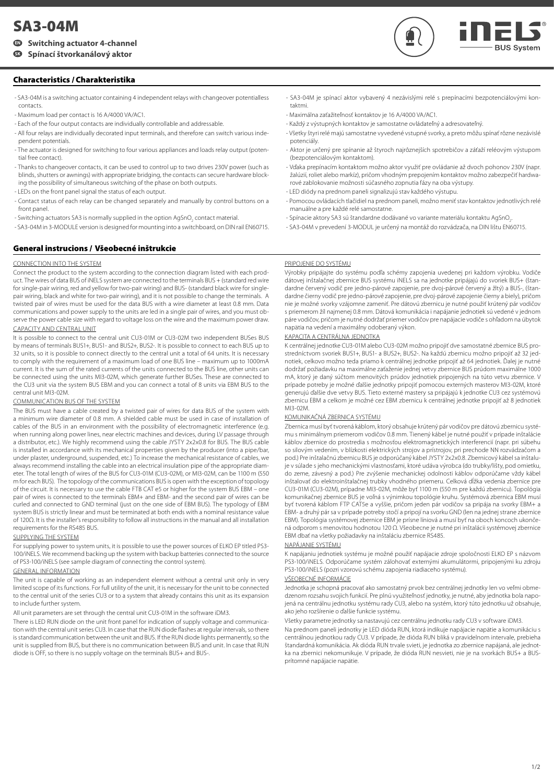# **SA3-04M**

# **Switching actuator 4-channel EN**

**SK Spínací štvorkanálový aktor**

# **Characteristics / Charakteristika**

- SA3-04M is a switching actuator containing 4 independent relays with changeover potentialless contacts.
- Maximum load per contact is 16 A/4000 VA/AC1.
- Each of the four output contacts are individually controllable and addressable.
- All four relays are individually decorated input terminals, and therefore can switch various independent potentials.
- The actuator is designed for switching to four various appliances and loads relay output (potential free contact).
- Thanks to changeover contacts, it can be used to control up to two drives 230V power (such as blinds, shutters or awnings) with appropriate bridging, the contacts can secure hardware blocking the possibility of simultaneous switching of the phase on both outputs.
- LEDs on the front panel signal the status of each output.
- Contact status of each relay can be changed separately and manually by control buttons on a front panel.
- Switching actuators SA3 is normally supplied in the option AgSnO<sub>2</sub> contact material.
- SA3-04M in 3-MODULE version is designed for mounting into a switchboard, on DIN rail EN60715.

# **General instrucions / Všeobecné inštrukcie**

### CONNECTION INTO THE SYSTEM

Connect the product to the system according to the connection diagram listed with each product. The wires of data BUS of iNELS system are connected to the terminals BUS + (standard red wire for single-pair wiring, red and yellow for two-pair wiring) and BUS- (standard black wire for singlepair wiring, black and white for two-pair wiring), and it is not possible to change the terminals. A twisted pair of wires must be used for the data BUS with a wire diameter at least 0.8 mm. Data communications and power supply to the units are led in a single pair of wires, and you must observe the power cable size with regard to voltage loss on the wire and the maximum power draw. CAPACITY AND CENTRAL UNIT

It is possible to connect to the central unit CU3-01M or CU3-02M two independent BUSes BUS by means of terminals BUS1+, BUS1- and BUS2+, BUS2-. It is possible to connect to each BUS up to 32 units, so it is possible to connect directly to the central unit a total of 64 units. It is necessary to comply with the requirement of a maximum load of one BUS line – maximum up to 1000mA current. It is the sum of the rated currents of the units connected to the BUS line, other units can be connected using the units MI3-02M, which generate further BUSes. These are connected to the CU3 unit via the system BUS EBM and you can connect a total of 8 units via EBM BUS to the central unit MI3-02M.

#### COMMUNICATION BUS OF THE SYSTEM

The BUS must have a cable created by a twisted pair of wires for data BUS of the system with a minimum wire diameter of 0.8 mm. A shielded cable must be used in case of installation of cables of the BUS in an environment with the possibility of electromagnetic interference (e.g. when running along power lines, near electric machines and devices, during LV passage through a distributor, etc.). We highly recommend using the cable JYSTY 2x2x0.8 for BUS. The BUS cable is installed in accordance with its mechanical properties given by the producer (into a pipe/bar, under plaster, underground, suspended, etc.) To increase the mechanical resistance of cables, we always recommend installing the cable into an electrical insulation pipe of the appropriate diameter. The total length of wires of the BUS for CU3-01M (CU3-02M), or MI3-02M, can be 1100 m (550 m for each BUS). The topology of the communications BUS is open with the exception of topology of the circuit. It is necessary to use the cable FTB CAT e5 or higher for the system BUS EBM – one pair of wires is connected to the terminals EBM+ and EBM- and the second pair of wires can be curled and connected to GND terminal (just on the one side of EBM BUS). The typology of EBM system BUS is strictly linear and must be terminated at both ends with a nominal resistance value of 120Ω. It is the installer's responsibility to follow all instructions in the manual and all installation requirements for the RS485 BUS.

#### SUPPLYING THE SYSTEM

For supplying power to system units, it is possible to use the power sources of ELKO EP titled PS3- 100/iNELS. We recommend backing up the system with backup batteries connected to the source of PS3-100/iNELS (see sample diagram of connecting the control system).

#### GENERAL INFORMATION

The unit is capable of working as an independent element without a central unit only in very limited scope of its functions. For full utility of the unit, it is necessary for the unit to be connected to the central unit of the series CU3 or to a system that already contains this unit as its expansion to include further system.

#### All unit parameters are set through the central unit CU3-01M in the software iDM3.

There is LED RUN diode on the unit front panel for indication of supply voltage and communication with the central unit series CU3. In case that the RUN diode flashes at regular intervals, so there is standard communication between the unit and BUS. If the RUN diode lights permanently, so the unit is supplied from BUS, but there is no communication between BUS and unit. In case that RUN diode is OFF, so there is no supply voltage on the terminals BUS+ and BUS-.

- SA3-04M je spínací aktor vybavený 4 nezávislými relé s prepínacími bezpotenciálovými kontaktmi.
- Maximálna zaťažiteľnosť kontaktov je 16 A/4000 VA/AC1.
- Každý z výstupných kontaktov je samostatne ovládateľný a adresovateľný.
- Všetky štyri relé majú samostatne vyvedené vstupné svorky, a preto môžu spínať rôzne nezávislé potenciály.
- Aktor je určený pre spínanie až štyroch najrôznejších spotrebičov a záťaží reléovým výstupom (bezpotenciálovým kontaktom).
- Vďaka prepínacím kontaktom možno aktor využiť pre ovládanie až dvoch pohonov 230V (napr. žalúzií, roliet alebo markíz), pričom vhodným prepojením kontaktov možno zabezpečiť hardwarové zablokovanie možnosti súčasného zopnutia fázy na oba výstupy.
- LED diódy na prednom paneli signalizujú stav každého výstupu.
- Pomocou ovládacích tlačidiel na prednom paneli, možno meniť stav kontaktov jednotlivých relé manuálne a pre každé relé samostatne.
- Spínacie aktory SA3 sú štandardne dodávané vo variante materiálu kontaktu AgSnO<sub>2</sub>. .
- SA3-04M v prevedení 3-MODUL je určený na montáž do rozvádzača, na DIN lištu EN60715.

#### PRIPOJENIE DO SYSTÉMU

Výrobky pripájajte do systému podľa schémy zapojenia uvedenej pri každom výrobku. Vodiče dátovej inštalačnej zbernice BUS systému iNELS sa na jednotke pripájajú do svoriek BUS+ (štandardne červený vodič pre jedno-párové zapojenie, pre dvoj-párové červený a žltý) a BUS-, (štandardne čierny vodič pre jedno-párové zapojenie, pre dvoj-párové zapojenie čierny a biely), pričom nie je možné svorky vzájomne zameniť. Pre dátovú zbernicu je nutné použiť krútený pár vodičov s priemerom žíl najmenej 0.8 mm. Dátová komunikácia i napájanie jednotiek sú vedené v jednom páre vodičov, pričom je nutné dodržať priemer vodičov pre napájacie vodiče s ohľadom na úbytok napätia na vedení a maximálny odoberaný výkon.

### KAPACITA A CENTRÁLNA JEDNOTKA

K centrálnej jednotke CU3-01M alebo CU3-02M možno pripojiť dve samostatné zbernice BUS prostredníctvom svoriek BUS1+, BUS1- a BUS2+, BUS2-. Na každú zbernicu možno pripojiť až 32 jednotiek, celkovo možno teda priamo k centrálnej jednotke pripojiť až 64 jednotiek. Ďalej je nutné dodržať požiadavku na maximálne zaťaženie jednej vetvy zbernice BUS prúdom maximálne 1000 mA, ktorý je daný súčtom menovitých prúdov jednotiek pripojených na túto vetvu zbernice. V prípade potreby je možné ďalšie jednotky pripojiť pomocou externých masterov MI3-02M, ktoré generujú ďalšie dve vetvy BUS. Tieto externé mastery sa pripájajú k jednotke CU3 cez systémovú zbernicu EBM a celkom je možné cez EBM zbernicu k centrálnej jednotke pripojiť až 8 jednotiek MI3-02M.

#### KOMUNIKAČNÁ ZBERNICA SYSTÉMU

Zbernica musí byť tvorená káblom, ktorý obsahuje krútený pár vodičov pre dátovú zbernicu systému s minimálnym priemerom vodičov 0.8 mm. Tienený kábel je nutné použiť v prípade inštalácie káblov zbernice do prostredia s možnosťou elektromagnetických interferencií (napr. pri súbehu so silovým vedením, v blízkosti elektrických strojov a prístrojov, pri prechode NN rozvádzačom a pod.) Pre inštalačnú zbernicu BUS je odporúčaný kábel JYSTY 2x2x0.8. Zbernicový kábel sa inštaluje v súlade s jeho mechanickými vlastnosťami, ktoré udáva výrobca (do trubky/lišty, pod omietku, do zeme, závesný a pod.) Pre zvýšenie mechanickej odolnosti káblov odporúčame vždy kábel inštalovať do elektroinštalačnej trubky vhodného priemeru. Celková dĺžka vedenia zbernice pre CU3-01M (CU3-02M), prípadne MI3-02M, môže byť 1100 m (550 m pre každú zbernicu). Topológia komunikačnej zbernice BUS je voľná s výnimkou topológie kruhu. Systémová zbernica EBM musí byť tvorená káblom FTP CAT5e a vyššie, pričom jeden pár vodičov sa pripája na svorky EBM+ a EBM- a druhý pár sa v prípade potreby stočí a pripojí na svorku GND (len na jednej strane zbernice EBM). Topológia systémovej zbernice EBM je prísne líniová a musí byť na oboch koncoch ukončená odporom s menovitou hodnotou 120 Ω. Všeobecne je nutné pri inštalácii systémovej zbernice EBM dbať na všetky požiadavky na inštaláciu zbernice RS485.

# NAPÁJANIE SYSTÉMU

K napájaniu jednotiek systému je možné použiť napájacie zdroje spoločnosti ELKO EP s názvom PS3-100/iNELS. Odporúčame systém zálohovať externými akumulátormi, pripojenými ku zdroju PS3-100/iNELS (pozri vzorovú schému zapojenia riadiaceho systému).

#### VŠEOBECNÉ INFORMÁCIE

Jednotka je schopná pracovať ako samostatný prvok bez centrálnej jednotky len vo veľmi obmedzenom rozsahu svojich funkcií. Pre plnú využiteľnosť jednotky, je nutné, aby jednotka bola napojená na centrálnu jednotku systému rady CU3, alebo na systém, ktorý túto jednotku už obsahuje, ako jeho rozšírenie o ďalšie funkcie systému.

#### Všetky parametre jednotky sa nastavujú cez centrálnu jednotku rady CU3 v software iDM3.

Na prednom paneli jednotky je LED dióda RUN, ktorá indikuje napájacie napätie a komunikáciu s centrálnou jednotkou rady CU3. V prípade, že dióda RUN bliká v pravidelnom intervale, prebieha štandardná komunikácia. Ak dióda RUN trvale svieti, je jednotka zo zbernice napájaná, ale jednotka na zbernici nekomunikuje. V prípade, že dióda RUN nesvieti, nie je na svorkách BUS+ a BUSprítomné napájacie napätie.